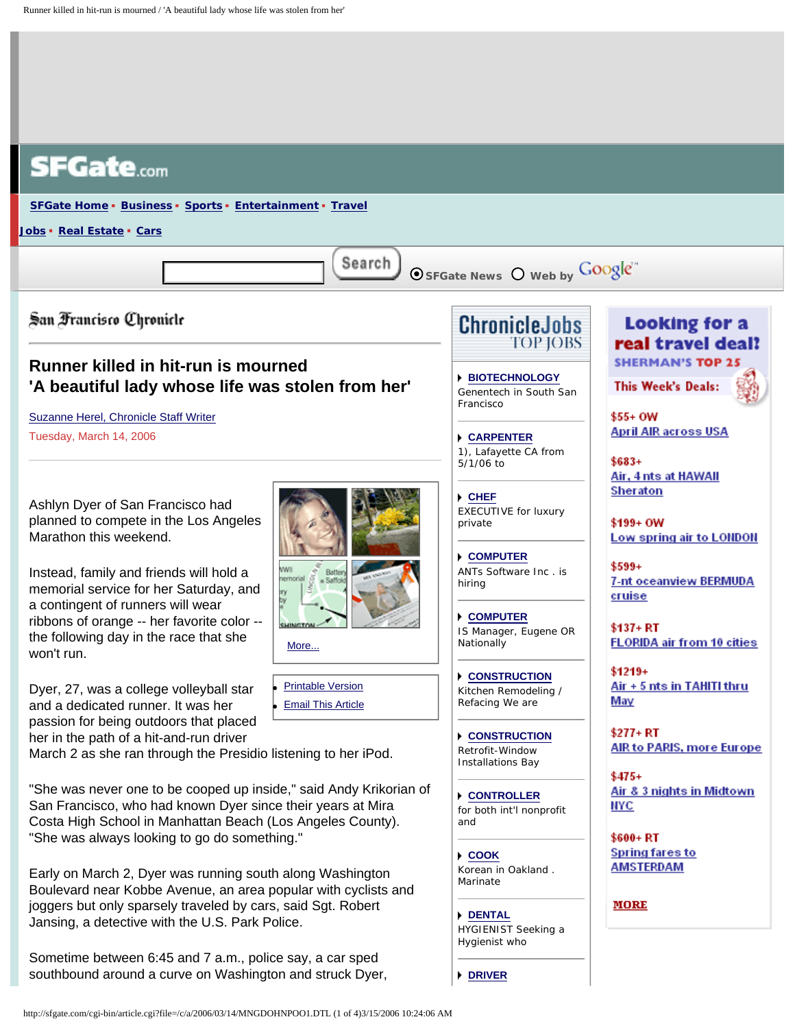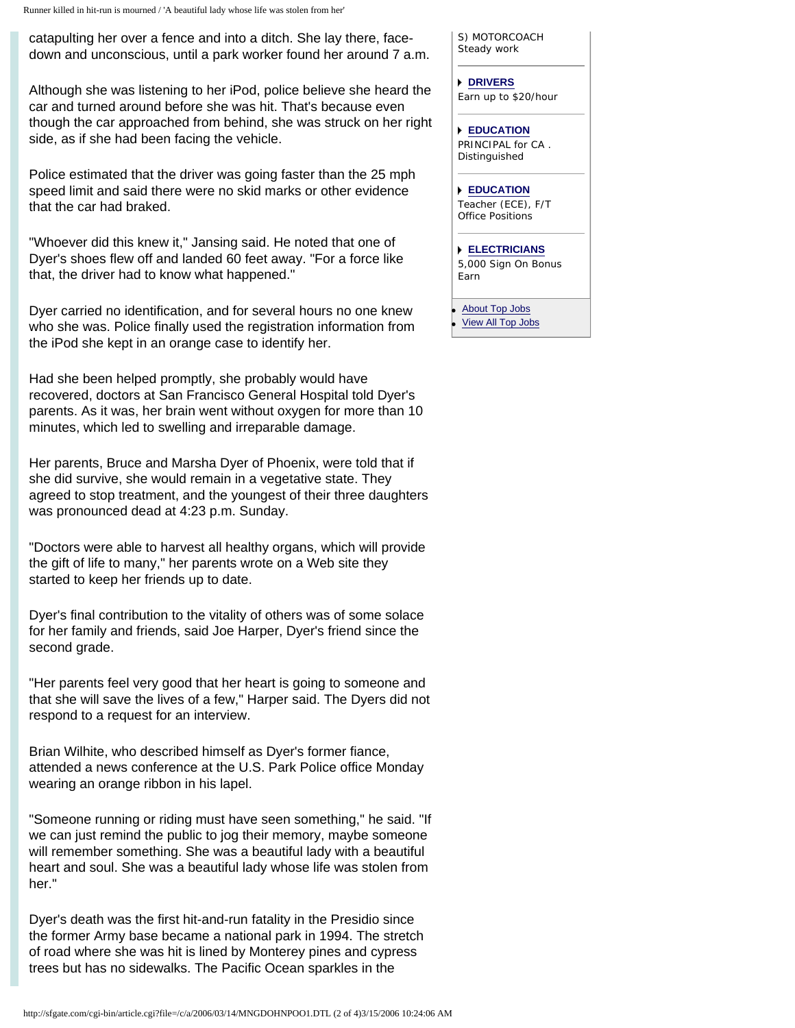catapulting her over a fence and into a ditch. She lay there, facedown and unconscious, until a park worker found her around 7 a.m.

Although she was listening to her iPod, police believe she heard the car and turned around before she was hit. That's because even though the car approached from behind, she was struck on her right side, as if she had been facing the vehicle.

Police estimated that the driver was going faster than the 25 mph speed limit and said there were no skid marks or other evidence that the car had braked.

"Whoever did this knew it," Jansing said. He noted that one of Dyer's shoes flew off and landed 60 feet away. "For a force like that, the driver had to know what happened."

Dyer carried no identification, and for several hours no one knew who she was. Police finally used the registration information from the iPod she kept in an orange case to identify her.

Had she been helped promptly, she probably would have recovered, doctors at San Francisco General Hospital told Dyer's parents. As it was, her brain went without oxygen for more than 10 minutes, which led to swelling and irreparable damage.

Her parents, Bruce and Marsha Dyer of Phoenix, were told that if she did survive, she would remain in a vegetative state. They agreed to stop treatment, and the youngest of their three daughters was pronounced dead at 4:23 p.m. Sunday.

"Doctors were able to harvest all healthy organs, which will provide the gift of life to many," her parents wrote on a Web site they started to keep her friends up to date.

Dyer's final contribution to the vitality of others was of some solace for her family and friends, said Joe Harper, Dyer's friend since the second grade.

"Her parents feel very good that her heart is going to someone and that she will save the lives of a few," Harper said. The Dyers did not respond to a request for an interview.

Brian Wilhite, who described himself as Dyer's former fiance, attended a news conference at the U.S. Park Police office Monday wearing an orange ribbon in his lapel.

"Someone running or riding must have seen something," he said. "If we can just remind the public to jog their memory, maybe someone will remember something. She was a beautiful lady with a beautiful heart and soul. She was a beautiful lady whose life was stolen from her."

Dyer's death was the first hit-and-run fatality in the Presidio since the former Army base became a national park in 1994. The stretch of road where she was hit is lined by Monterey pines and cypress trees but has no sidewalks. The Pacific Ocean sparkles in the

S) MOTORCOACH Steady work

**[DRIVERS](http://sfgate.com/cgi-bin/adjacency/jason/details?ad=45126f50)** Earn up to \$20/hour

**[EDUCATION](http://sfgate.com/cgi-bin/adjacency/jason/details?ad=55126f50)** PRINCIPAL for CA . Distinguished

**[EDUCATION](http://sfgate.com/cgi-bin/adjacency/jason/details?ad=65126f50)** Teacher (ECE), F/T Office Positions

**[ELECTRICIANS](http://sfgate.com/cgi-bin/adjacency/jason/details?ad=74126f50)** 5,000 Sign On Bonus Earn

**[About Top Jobs](http://sfgate.com/templates/types/adjacency/about/) [View All Top Jobs](http://sfgate.com/cgi-bin/adjacency/jason/list)**